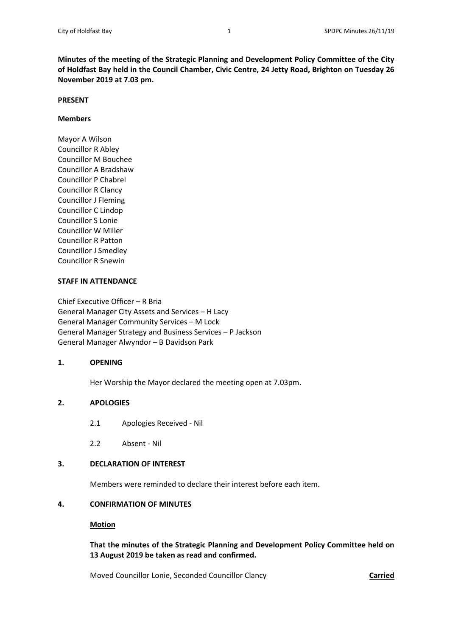**Minutes of the meeting of the Strategic Planning and Development Policy Committee of the City of Holdfast Bay held in the Council Chamber, Civic Centre, 24 Jetty Road, Brighton on Tuesday 26 November 2019 at 7.03 pm.** 

## **PRESENT**

## **Members**

Mayor A Wilson Councillor R Abley Councillor M Bouchee Councillor A Bradshaw Councillor P Chabrel Councillor R Clancy Councillor J Fleming Councillor C Lindop Councillor S Lonie Councillor W Miller Councillor R Patton Councillor J Smedley Councillor R Snewin

# **STAFF IN ATTENDANCE**

Chief Executive Officer – R Bria General Manager City Assets and Services – H Lacy General Manager Community Services – M Lock General Manager Strategy and Business Services – P Jackson General Manager Alwyndor – B Davidson Park

## **1. OPENING**

Her Worship the Mayor declared the meeting open at 7.03pm.

# **2. APOLOGIES**

- 2.1 Apologies Received ‐ Nil
- 2.2 Absent ‐ Nil

# **3. DECLARATION OF INTEREST**

Members were reminded to declare their interest before each item.

# **4. CONFIRMATION OF MINUTES**

## **Motion**

 **That the minutes of the Strategic Planning and Development Policy Committee held on 13 August 2019 be taken as read and confirmed.** 

Moved Councillor Lonie, Seconded Councillor Clancy **Carried**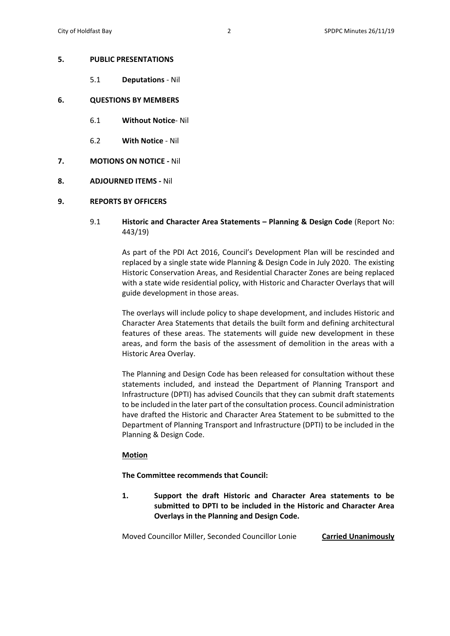#### **5. PUBLIC PRESENTATIONS**

5.1 **Deputations** ‐ Nil

#### **6. QUESTIONS BY MEMBERS**

- 6.1 **Without Notice**‐ Nil
- 6.2 **With Notice** ‐ Nil
- **7. MOTIONS ON NOTICE ‐** Nil
- **8. ADJOURNED ITEMS ‐** Nil
- **9. REPORTS BY OFFICERS** 
	- 9.1 **Historic and Character Area Statements Planning & Design Code** (Report No: 443/19)

 As part of the PDI Act 2016, Council's Development Plan will be rescinded and replaced by a single state wide Planning & Design Code in July 2020. The existing Historic Conservation Areas, and Residential Character Zones are being replaced with a state wide residential policy, with Historic and Character Overlays that will guide development in those areas.

 The overlays will include policy to shape development, and includes Historic and Character Area Statements that details the built form and defining architectural features of these areas. The statements will guide new development in these areas, and form the basis of the assessment of demolition in the areas with a Historic Area Overlay.

 The Planning and Design Code has been released for consultation without these statements included, and instead the Department of Planning Transport and Infrastructure (DPTI) has advised Councils that they can submit draft statements to be included in the later part of the consultation process. Council administration have drafted the Historic and Character Area Statement to be submitted to the Department of Planning Transport and Infrastructure (DPTI) to be included in the Planning & Design Code.

## **Motion**

 **The Committee recommends that Council:** 

**1. Support the draft Historic and Character Area statements to be submitted to DPTI to be included in the Historic and Character Area Overlays in the Planning and Design Code.** 

Moved Councillor Miller, Seconded Councillor Lonie **Carried Unanimously**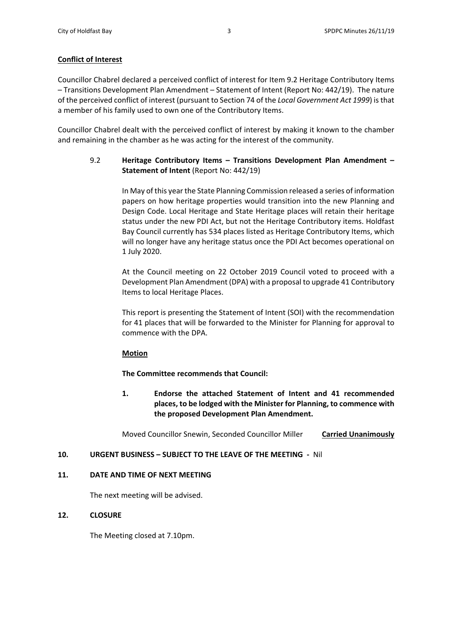# **Conflict of Interest**

Councillor Chabrel declared a perceived conflict of interest for Item 9.2 Heritage Contributory Items – Transitions Development Plan Amendment – Statement of Intent (Report No: 442/19). The nature of the perceived conflict of interest (pursuant to Section 74 of the *Local Government Act 1999*) is that a member of his family used to own one of the Contributory Items.

Councillor Chabrel dealt with the perceived conflict of interest by making it known to the chamber and remaining in the chamber as he was acting for the interest of the community.

# 9.2 **Heritage Contributory Items – Transitions Development Plan Amendment – Statement of Intent** (Report No: 442/19)

 In May of this year the State Planning Commission released a series of information papers on how heritage properties would transition into the new Planning and Design Code. Local Heritage and State Heritage places will retain their heritage status under the new PDI Act, but not the Heritage Contributory items. Holdfast Bay Council currently has 534 places listed as Heritage Contributory Items, which will no longer have any heritage status once the PDI Act becomes operational on 1 July 2020.

 At the Council meeting on 22 October 2019 Council voted to proceed with a Development Plan Amendment (DPA) with a proposal to upgrade 41 Contributory Items to local Heritage Places.

 This report is presenting the Statement of Intent (SOI) with the recommendation for 41 places that will be forwarded to the Minister for Planning for approval to commence with the DPA.

# **Motion Motion**

 **The Committee recommends that Council:** 

**1. Endorse the attached Statement of Intent and 41 recommended places, to be lodged with the Minister for Planning, to commence with the proposed Development Plan Amendment.** 

 Moved Councillor Snewin, Seconded Councillor Miller **Carried Unanimously** 

# **10. URGENT BUSINESS – SUBJECT TO THE LEAVE OF THE MEETING ‐** Nil

## **11. DATE AND TIME OF NEXT MEETING**

The next meeting will be advised.

# **12. CLOSURE**

The Meeting closed at 7.10pm.